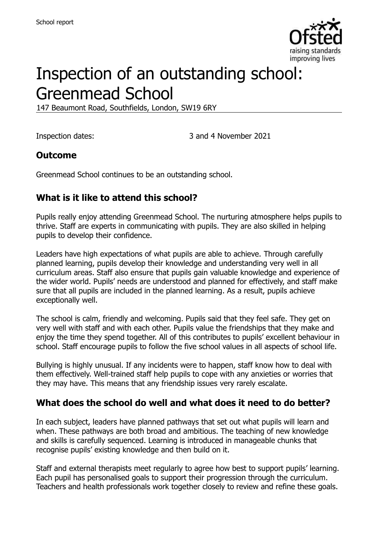

# Inspection of an outstanding school: Greenmead School

147 Beaumont Road, Southfields, London, SW19 6RY

Inspection dates: 3 and 4 November 2021

#### **Outcome**

Greenmead School continues to be an outstanding school.

# **What is it like to attend this school?**

Pupils really enjoy attending Greenmead School. The nurturing atmosphere helps pupils to thrive. Staff are experts in communicating with pupils. They are also skilled in helping pupils to develop their confidence.

Leaders have high expectations of what pupils are able to achieve. Through carefully planned learning, pupils develop their knowledge and understanding very well in all curriculum areas. Staff also ensure that pupils gain valuable knowledge and experience of the wider world. Pupils' needs are understood and planned for effectively, and staff make sure that all pupils are included in the planned learning. As a result, pupils achieve exceptionally well.

The school is calm, friendly and welcoming. Pupils said that they feel safe. They get on very well with staff and with each other. Pupils value the friendships that they make and enjoy the time they spend together. All of this contributes to pupils' excellent behaviour in school. Staff encourage pupils to follow the five school values in all aspects of school life.

Bullying is highly unusual. If any incidents were to happen, staff know how to deal with them effectively. Well-trained staff help pupils to cope with any anxieties or worries that they may have. This means that any friendship issues very rarely escalate.

#### **What does the school do well and what does it need to do better?**

In each subject, leaders have planned pathways that set out what pupils will learn and when. These pathways are both broad and ambitious. The teaching of new knowledge and skills is carefully sequenced. Learning is introduced in manageable chunks that recognise pupils' existing knowledge and then build on it.

Staff and external therapists meet regularly to agree how best to support pupils' learning. Each pupil has personalised goals to support their progression through the curriculum. Teachers and health professionals work together closely to review and refine these goals.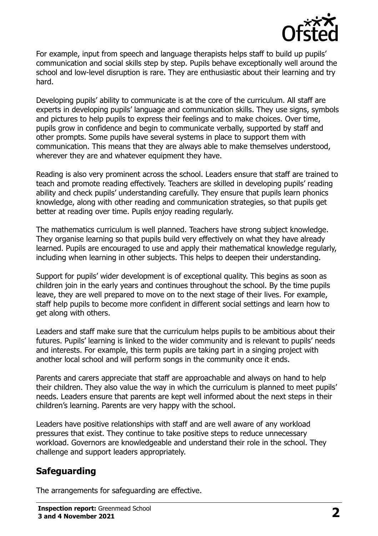

For example, input from speech and language therapists helps staff to build up pupils' communication and social skills step by step. Pupils behave exceptionally well around the school and low-level disruption is rare. They are enthusiastic about their learning and try hard.

Developing pupils' ability to communicate is at the core of the curriculum. All staff are experts in developing pupils' language and communication skills. They use signs, symbols and pictures to help pupils to express their feelings and to make choices. Over time, pupils grow in confidence and begin to communicate verbally, supported by staff and other prompts. Some pupils have several systems in place to support them with communication. This means that they are always able to make themselves understood, wherever they are and whatever equipment they have.

Reading is also very prominent across the school. Leaders ensure that staff are trained to teach and promote reading effectively. Teachers are skilled in developing pupils' reading ability and check pupils' understanding carefully. They ensure that pupils learn phonics knowledge, along with other reading and communication strategies, so that pupils get better at reading over time. Pupils enjoy reading regularly.

The mathematics curriculum is well planned. Teachers have strong subject knowledge. They organise learning so that pupils build very effectively on what they have already learned. Pupils are encouraged to use and apply their mathematical knowledge regularly, including when learning in other subjects. This helps to deepen their understanding.

Support for pupils' wider development is of exceptional quality. This begins as soon as children join in the early years and continues throughout the school. By the time pupils leave, they are well prepared to move on to the next stage of their lives. For example, staff help pupils to become more confident in different social settings and learn how to get along with others.

Leaders and staff make sure that the curriculum helps pupils to be ambitious about their futures. Pupils' learning is linked to the wider community and is relevant to pupils' needs and interests. For example, this term pupils are taking part in a singing project with another local school and will perform songs in the community once it ends.

Parents and carers appreciate that staff are approachable and always on hand to help their children. They also value the way in which the curriculum is planned to meet pupils' needs. Leaders ensure that parents are kept well informed about the next steps in their children's learning. Parents are very happy with the school.

Leaders have positive relationships with staff and are well aware of any workload pressures that exist. They continue to take positive steps to reduce unnecessary workload. Governors are knowledgeable and understand their role in the school. They challenge and support leaders appropriately.

# **Safeguarding**

The arrangements for safeguarding are effective.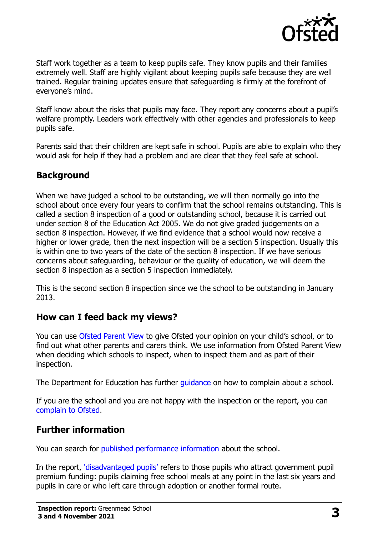

Staff work together as a team to keep pupils safe. They know pupils and their families extremely well. Staff are highly vigilant about keeping pupils safe because they are well trained. Regular training updates ensure that safeguarding is firmly at the forefront of everyone's mind.

Staff know about the risks that pupils may face. They report any concerns about a pupil's welfare promptly. Leaders work effectively with other agencies and professionals to keep pupils safe.

Parents said that their children are kept safe in school. Pupils are able to explain who they would ask for help if they had a problem and are clear that they feel safe at school.

### **Background**

When we have judged a school to be outstanding, we will then normally go into the school about once every four years to confirm that the school remains outstanding. This is called a section 8 inspection of a good or outstanding school, because it is carried out under section 8 of the Education Act 2005. We do not give graded judgements on a section 8 inspection. However, if we find evidence that a school would now receive a higher or lower grade, then the next inspection will be a section 5 inspection. Usually this is within one to two years of the date of the section 8 inspection. If we have serious concerns about safeguarding, behaviour or the quality of education, we will deem the section 8 inspection as a section 5 inspection immediately.

This is the second section 8 inspection since we the school to be outstanding in January 2013.

#### **How can I feed back my views?**

You can use [Ofsted Parent View](https://parentview.ofsted.gov.uk/) to give Ofsted your opinion on your child's school, or to find out what other parents and carers think. We use information from Ofsted Parent View when deciding which schools to inspect, when to inspect them and as part of their inspection.

The Department for Education has further quidance on how to complain about a school.

If you are the school and you are not happy with the inspection or the report, you can [complain to Ofsted.](https://www.gov.uk/complain-ofsted-report)

#### **Further information**

You can search for [published performance information](http://www.compare-school-performance.service.gov.uk/) about the school.

In the report, '[disadvantaged pupils](http://www.gov.uk/guidance/pupil-premium-information-for-schools-and-alternative-provision-settings)' refers to those pupils who attract government pupil premium funding: pupils claiming free school meals at any point in the last six years and pupils in care or who left care through adoption or another formal route.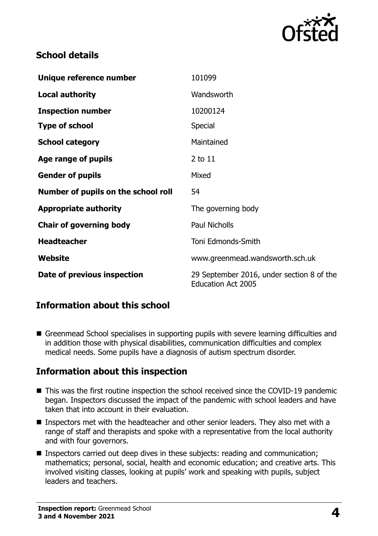

## **School details**

| Unique reference number             | 101099                                                                 |
|-------------------------------------|------------------------------------------------------------------------|
| <b>Local authority</b>              | Wandsworth                                                             |
| <b>Inspection number</b>            | 10200124                                                               |
| <b>Type of school</b>               | Special                                                                |
| <b>School category</b>              | Maintained                                                             |
| Age range of pupils                 | 2 to 11                                                                |
| <b>Gender of pupils</b>             | Mixed                                                                  |
| Number of pupils on the school roll | 54                                                                     |
| <b>Appropriate authority</b>        | The governing body                                                     |
| <b>Chair of governing body</b>      | <b>Paul Nicholls</b>                                                   |
| <b>Headteacher</b>                  | Toni Edmonds-Smith                                                     |
| Website                             | www.greenmead.wandsworth.sch.uk                                        |
| Date of previous inspection         | 29 September 2016, under section 8 of the<br><b>Education Act 2005</b> |

# **Information about this school**

Greenmead School specialises in supporting pupils with severe learning difficulties and in addition those with physical disabilities, communication difficulties and complex medical needs. Some pupils have a diagnosis of autism spectrum disorder.

#### **Information about this inspection**

- This was the first routine inspection the school received since the COVID-19 pandemic began. Inspectors discussed the impact of the pandemic with school leaders and have taken that into account in their evaluation.
- Inspectors met with the headteacher and other senior leaders. They also met with a range of staff and therapists and spoke with a representative from the local authority and with four governors.
- Inspectors carried out deep dives in these subjects: reading and communication; mathematics; personal, social, health and economic education; and creative arts. This involved visiting classes, looking at pupils' work and speaking with pupils, subject leaders and teachers.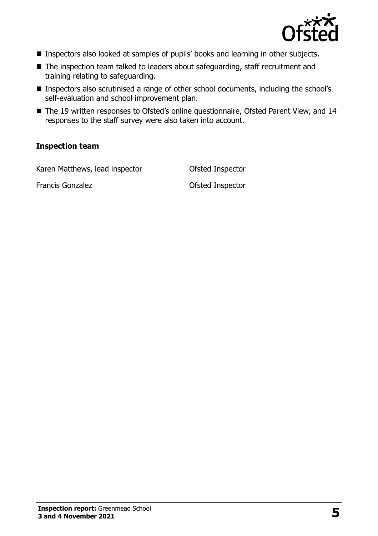

- Inspectors also looked at samples of pupils' books and learning in other subjects.
- The inspection team talked to leaders about safeguarding, staff recruitment and training relating to safeguarding.
- Inspectors also scrutinised a range of other school documents, including the school's self-evaluation and school improvement plan.
- The 19 written responses to Ofsted's online questionnaire, Ofsted Parent View, and 14 responses to the staff survey were also taken into account.

#### **Inspection team**

Karen Matthews, lead inspector **Ofsted Inspector** 

Francis Gonzalez **Contact Contact Contact Contact Contact Contact Contact Contact Contact Contact Contact Contact Contact Contact Contact Contact Contact Contact Contact Contact Contact Contact Contact Contact Contact Cont**